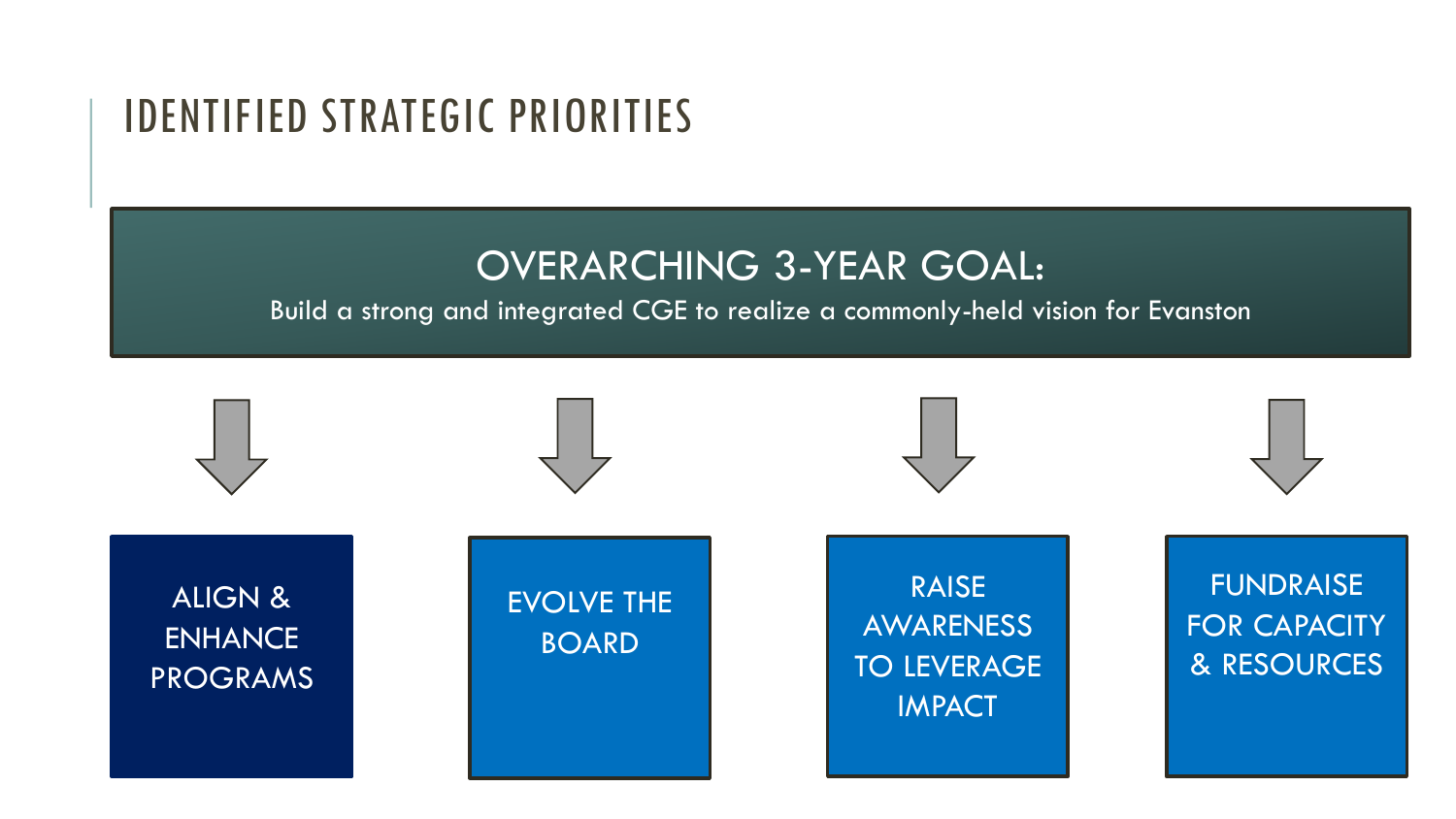### IDENTIFIED STRATEGIC PRIORITIES

#### OVERARCHING 3-YEAR GOAL:

#### Build a strong and integrated CGE to realize a commonly-held vision for Evanston

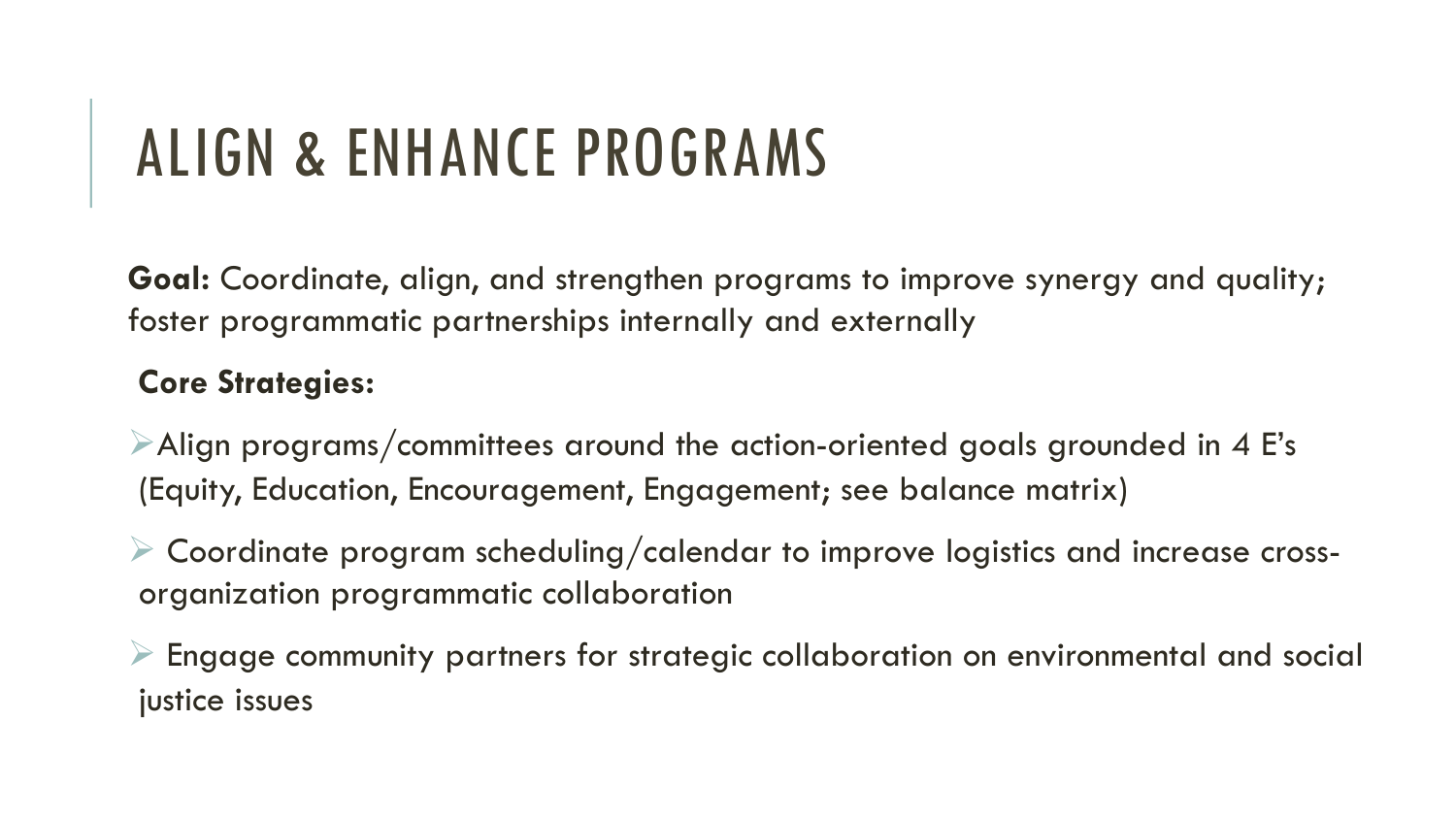## ALIGN & ENHANCE PROGRAMS

**Goal:** Coordinate, align, and strengthen programs to improve synergy and quality; foster programmatic partnerships internally and externally

#### **Core Strategies:**

 $\triangleright$  Align programs/committees around the action-oriented goals grounded in 4 E's (Equity, Education, Encouragement, Engagement; see balance matrix)

 $\triangleright$  Coordinate program scheduling/calendar to improve logistics and increase crossorganization programmatic collaboration

 $\triangleright$  Engage community partners for strategic collaboration on environmental and social justice issues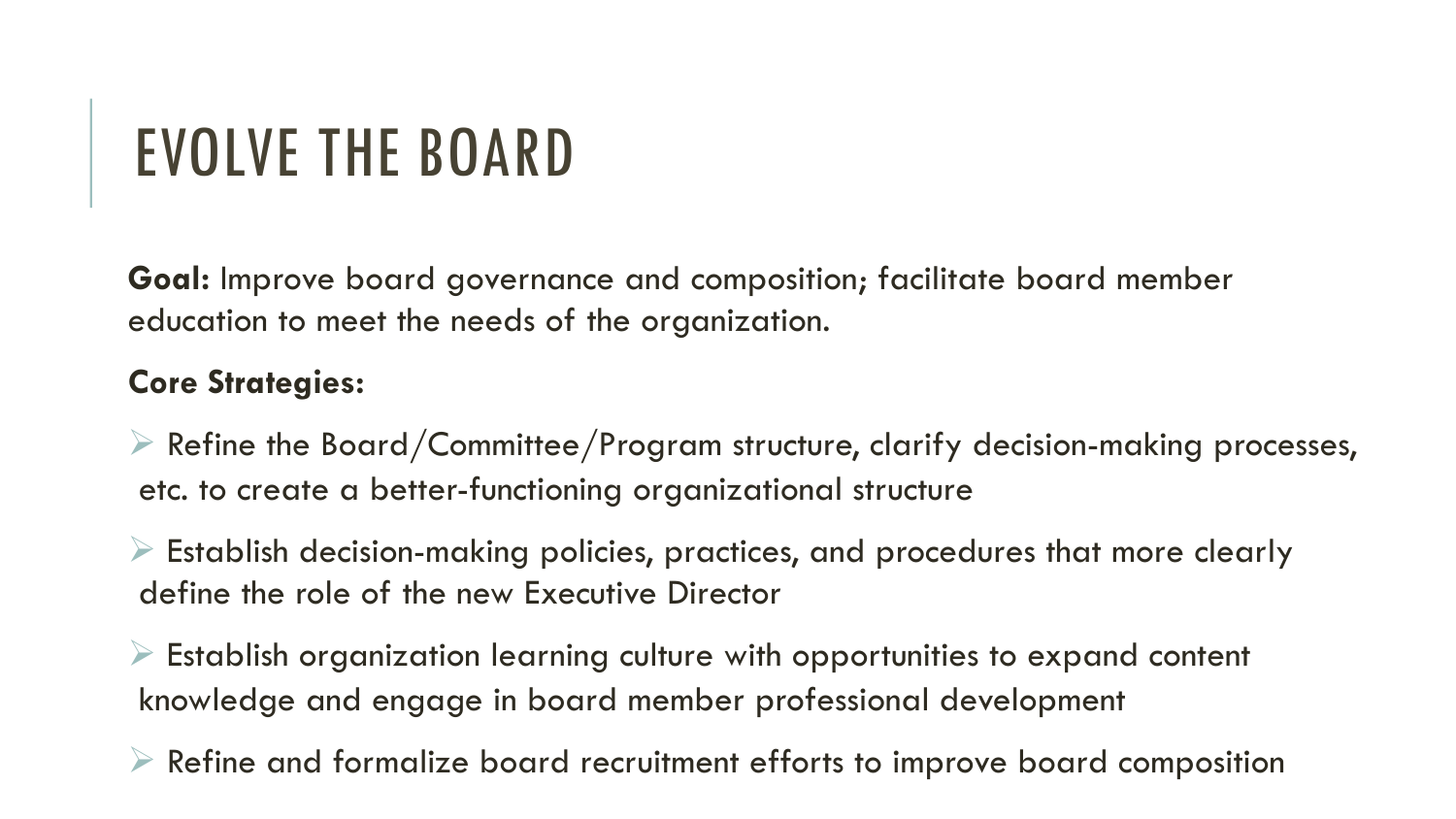## EVOLVE THE BOARD

**Goal:** Improve board governance and composition; facilitate board member education to meet the needs of the organization.

#### **Core Strategies:**

 $\triangleright$  Refine the Board/Committee/Program structure, clarify decision-making processes, etc. to create a better-functioning organizational structure

 $\triangleright$  Establish decision-making policies, practices, and procedures that more clearly define the role of the new Executive Director

 $\triangleright$  Establish organization learning culture with opportunities to expand content knowledge and engage in board member professional development

 $\triangleright$  Refine and formalize board recruitment efforts to improve board composition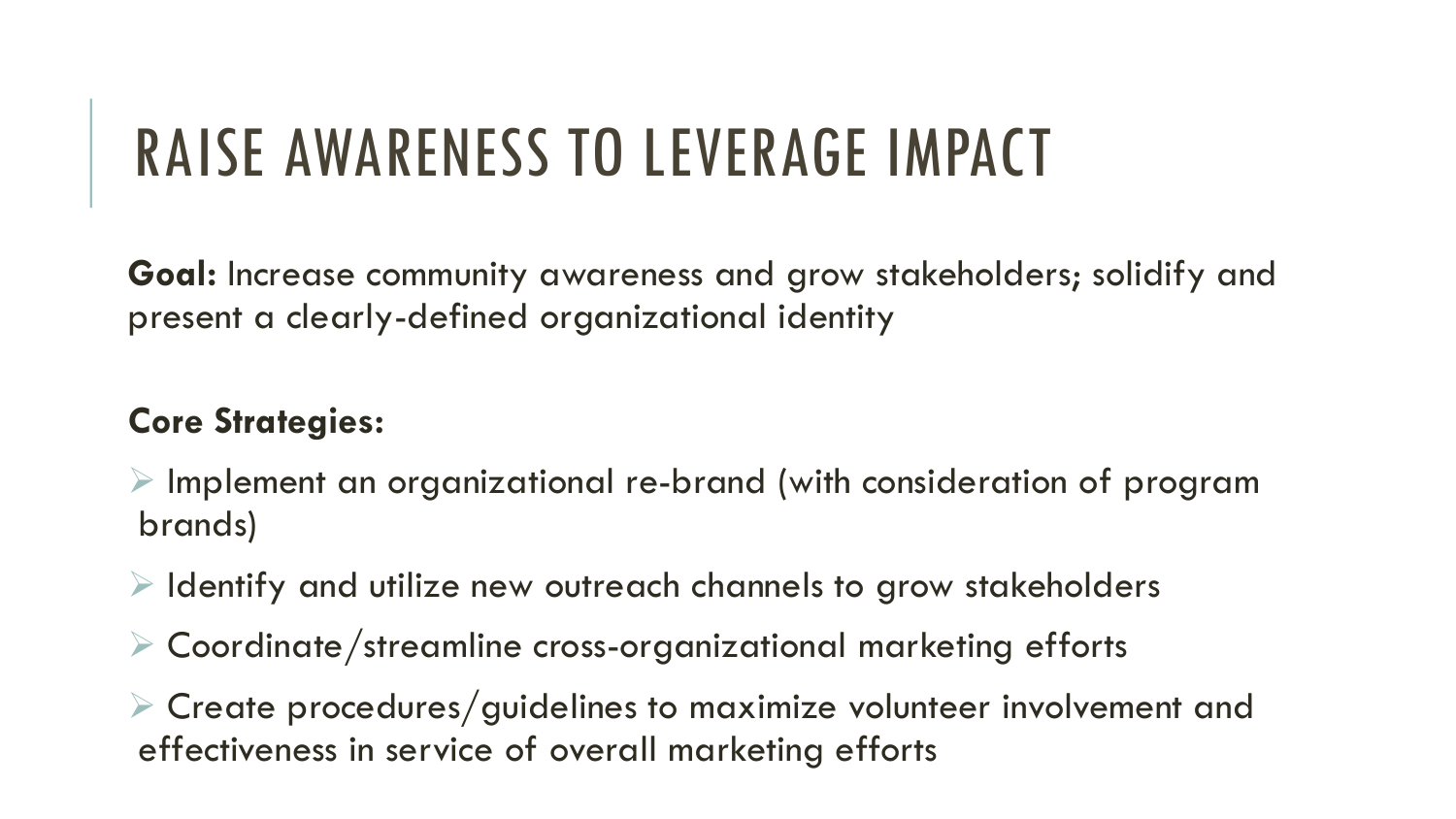## RAISE AWARENESS TO LEVERAGE IMPACT

**Goal:** Increase community awareness and grow stakeholders; solidify and present a clearly-defined organizational identity

#### **Core Strategies:**

- $\triangleright$  Implement an organizational re-brand (with consideration of program brands)
- $\triangleright$  Identify and utilize new outreach channels to grow stakeholders
- $\triangleright$  Coordinate/streamline cross-organizational marketing efforts
- $\triangleright$  Create procedures/guidelines to maximize volunteer involvement and effectiveness in service of overall marketing efforts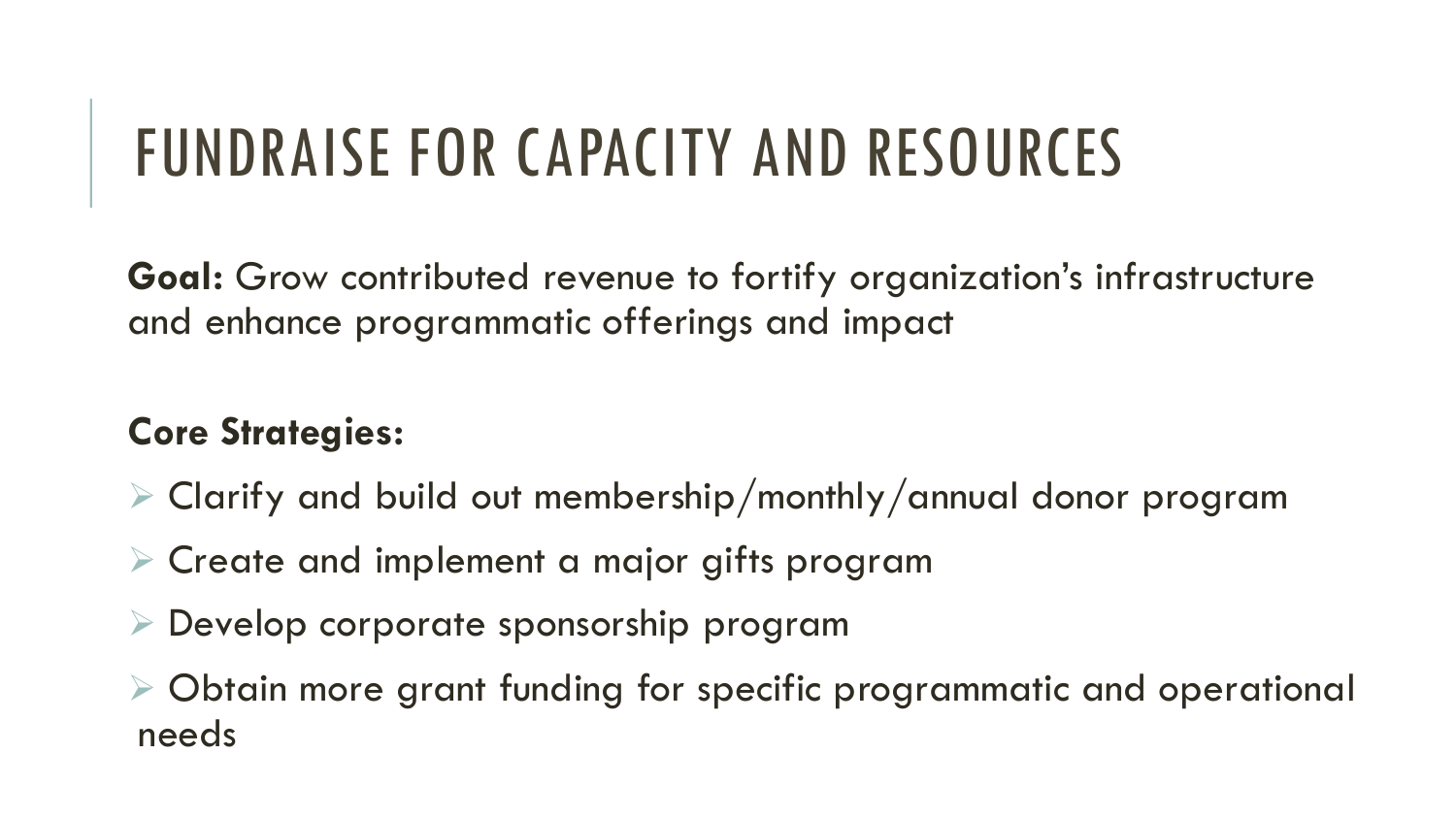## FUNDRAISE FOR CAPACITY AND RESOURCES

**Goal:** Grow contributed revenue to fortify organization's infrastructure and enhance programmatic offerings and impact

#### **Core Strategies:**

- $\triangleright$  Clarify and build out membership/monthly/annual donor program
- $\triangleright$  Create and implement a major gifts program
- $\triangleright$  Develop corporate sponsorship program
- $\triangleright$  Obtain more grant funding for specific programmatic and operational needs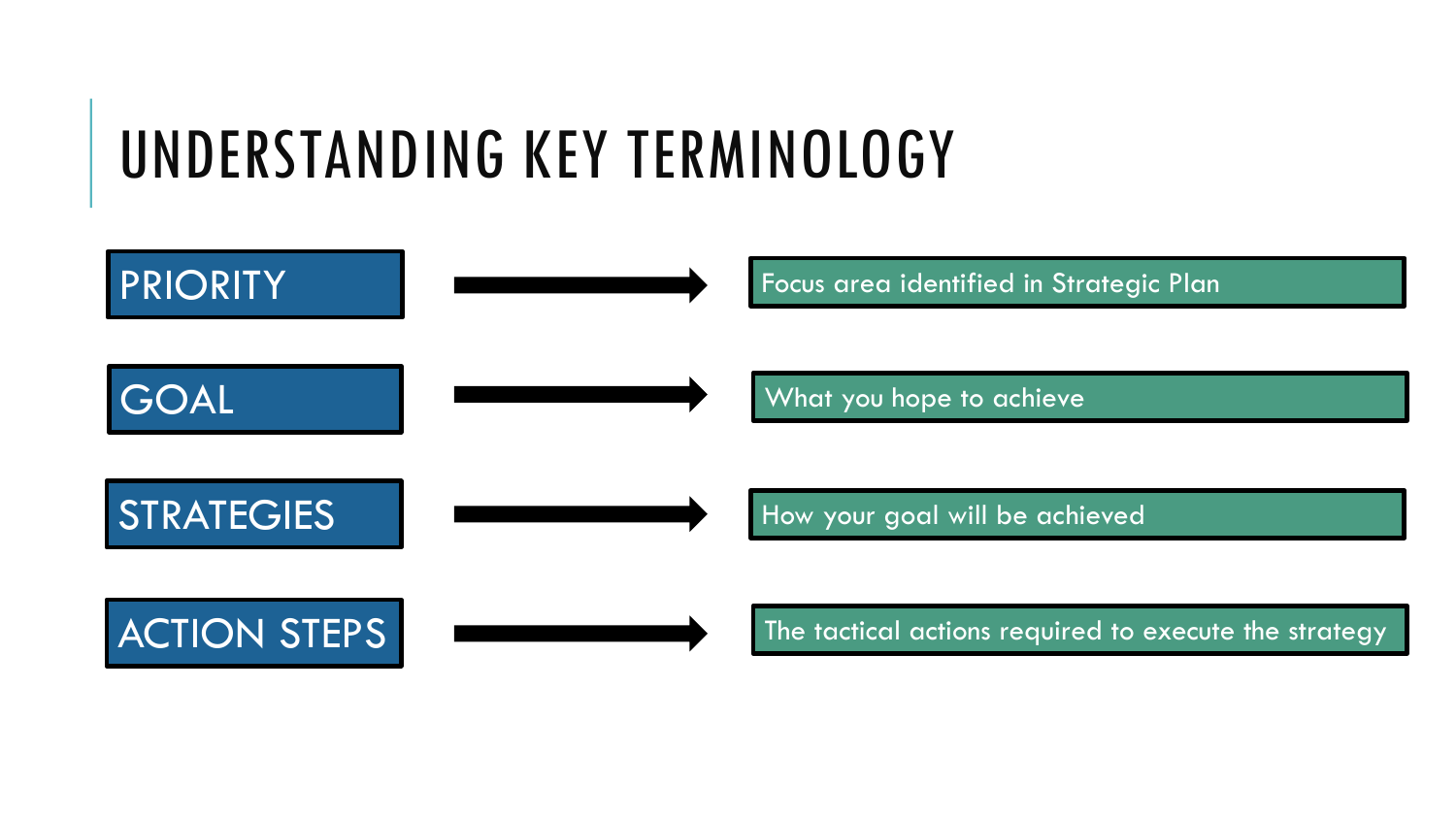## UNDERSTANDING KEY TERMINOLOGY